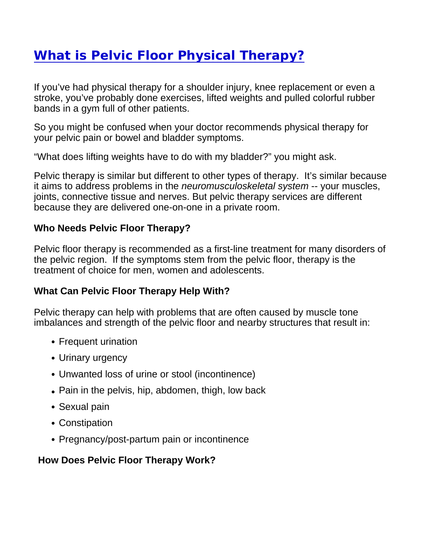## [What is Pelvic Floor Physical](https://www.pennpartners.org/blog/what-pelvic-floor-physical-therapy) Therapy?

If you've had physical therapy for a shoulder injury, knee replacement or even a stroke, you've probably done exercises, lifted weights and pulled colorful rubber bands in a gym full of other patients.

So you might be confused when your doctor recommends physical therapy for your pelvic pain or bowel and bladder symptoms.

"What does lifting weights have to do with my bladder?" you might ask.

Pelvic therapy is similar but different to other types of therapy. It's similar because it aims to address problems in the neuromusculoskeletal system -- your muscles, joints, connective tissue and nerves. But pelvic therapy services are different because they are delivered one-on-one in a private room.

Who Needs Pelvic Floor Therapy?

Pelvic floor therapy is recommended as a first-line treatment for many disorders of the pelvic region. If the symptoms stem from the pelvic floor, therapy is the treatment of choice for men, women and adolescents.

What Can Pelvic Floor Therapy Help With?

Pelvic therapy can help with problems that are often caused by muscle tone imbalances and strength of the pelvic floor and nearby structures that result in:

- Frequent urination
- Urinary urgency
- Unwanted loss of urine or stool (incontinence)
- Pain in the pelvis, hip, abdomen, thigh, low back
- Sexual pain
- Constipation
- Pregnancy/post-partum pain or incontinence

How Does Pelvic Floor Therapy Work?